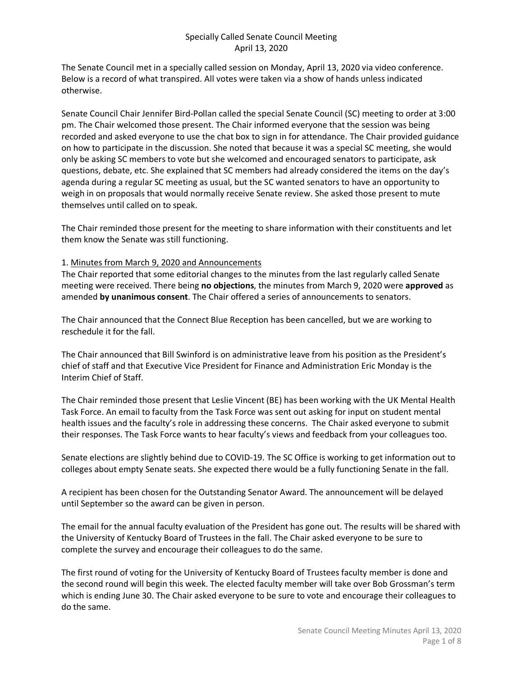The Senate Council met in a specially called session on Monday, April 13, 2020 via video conference. Below is a record of what transpired. All votes were taken via a show of hands unless indicated otherwise.

Senate Council Chair Jennifer Bird-Pollan called the special Senate Council (SC) meeting to order at 3:00 pm. The Chair welcomed those present. The Chair informed everyone that the session was being recorded and asked everyone to use the chat box to sign in for attendance. The Chair provided guidance on how to participate in the discussion. She noted that because it was a special SC meeting, she would only be asking SC members to vote but she welcomed and encouraged senators to participate, ask questions, debate, etc. She explained that SC members had already considered the items on the day's agenda during a regular SC meeting as usual, but the SC wanted senators to have an opportunity to weigh in on proposals that would normally receive Senate review. She asked those present to mute themselves until called on to speak.

The Chair reminded those present for the meeting to share information with their constituents and let them know the Senate was still functioning.

#### 1. Minutes from March 9, 2020 and Announcements

The Chair reported that some editorial changes to the minutes from the last regularly called Senate meeting were received. There being **no objections**, the minutes from March 9, 2020 were **approved** as amended **by unanimous consent**. The Chair offered a series of announcements to senators.

The Chair announced that the Connect Blue Reception has been cancelled, but we are working to reschedule it for the fall.

The Chair announced that Bill Swinford is on administrative leave from his position as the President's chief of staff and that Executive Vice President for Finance and Administration Eric Monday is the Interim Chief of Staff.

The Chair reminded those present that Leslie Vincent (BE) has been working with the UK Mental Health Task Force. An email to faculty from the Task Force was sent out asking for input on student mental health issues and the faculty's role in addressing these concerns. The Chair asked everyone to submit their responses. The Task Force wants to hear faculty's views and feedback from your colleagues too.

Senate elections are slightly behind due to COVID-19. The SC Office is working to get information out to colleges about empty Senate seats. She expected there would be a fully functioning Senate in the fall.

A recipient has been chosen for the Outstanding Senator Award. The announcement will be delayed until September so the award can be given in person.

The email for the annual faculty evaluation of the President has gone out. The results will be shared with the University of Kentucky Board of Trustees in the fall. The Chair asked everyone to be sure to complete the survey and encourage their colleagues to do the same.

The first round of voting for the University of Kentucky Board of Trustees faculty member is done and the second round will begin this week. The elected faculty member will take over Bob Grossman's term which is ending June 30. The Chair asked everyone to be sure to vote and encourage their colleagues to do the same.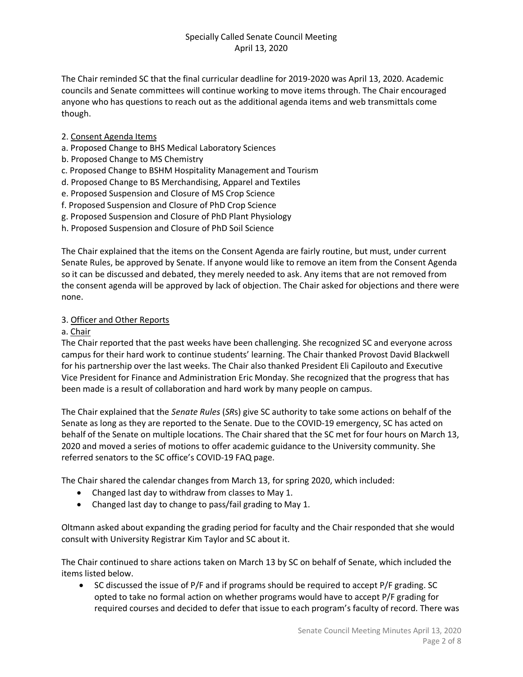The Chair reminded SC that the final curricular deadline for 2019-2020 was April 13, 2020. Academic councils and Senate committees will continue working to move items through. The Chair encouraged anyone who has questions to reach out as the additional agenda items and web transmittals come though.

- 2. Consent Agenda Items
- a. Proposed Change to BHS Medical Laboratory Sciences
- b. Proposed Change to MS Chemistry
- c. Proposed Change to BSHM Hospitality Management and Tourism
- d. Proposed Change to BS Merchandising, Apparel and Textiles
- e. Proposed Suspension and Closure of MS Crop Science
- f. Proposed Suspension and Closure of PhD Crop Science
- g. Proposed Suspension and Closure of PhD Plant Physiology
- h. Proposed Suspension and Closure of PhD Soil Science

The Chair explained that the items on the Consent Agenda are fairly routine, but must, under current Senate Rules, be approved by Senate. If anyone would like to remove an item from the Consent Agenda so it can be discussed and debated, they merely needed to ask. Any items that are not removed from the consent agenda will be approved by lack of objection. The Chair asked for objections and there were none.

#### 3. Officer and Other Reports

#### a. Chair

The Chair reported that the past weeks have been challenging. She recognized SC and everyone across campus for their hard work to continue students' learning. The Chair thanked Provost David Blackwell for his partnership over the last weeks. The Chair also thanked President Eli Capilouto and Executive Vice President for Finance and Administration Eric Monday. She recognized that the progress that has been made is a result of collaboration and hard work by many people on campus.

The Chair explained that the *Senate Rules* (*SR*s) give SC authority to take some actions on behalf of the Senate as long as they are reported to the Senate. Due to the COVID-19 emergency, SC has acted on behalf of the Senate on multiple locations. The Chair shared that the SC met for four hours on March 13, 2020 and moved a series of motions to offer academic guidance to the University community. She referred senators to the SC office's COVID-19 FAQ page.

The Chair shared the calendar changes from March 13, for spring 2020, which included:

- Changed last day to withdraw from classes to May 1.
- Changed last day to change to pass/fail grading to May 1.

Oltmann asked about expanding the grading period for faculty and the Chair responded that she would consult with University Registrar Kim Taylor and SC about it.

The Chair continued to share actions taken on March 13 by SC on behalf of Senate, which included the items listed below.

• SC discussed the issue of P/F and if programs should be required to accept P/F grading. SC opted to take no formal action on whether programs would have to accept P/F grading for required courses and decided to defer that issue to each program's faculty of record. There was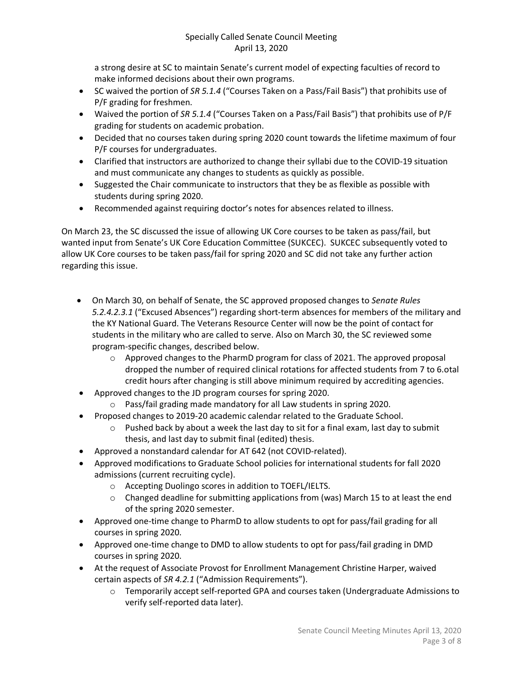a strong desire at SC to maintain Senate's current model of expecting faculties of record to make informed decisions about their own programs.

- SC waived the portion of *SR 5.1.4* ("Courses Taken on a Pass/Fail Basis") that prohibits use of P/F grading for freshmen.
- Waived the portion of *SR 5.1.4* ("Courses Taken on a Pass/Fail Basis") that prohibits use of P/F grading for students on academic probation.
- Decided that no courses taken during spring 2020 count towards the lifetime maximum of four P/F courses for undergraduates.
- Clarified that instructors are authorized to change their syllabi due to the COVID-19 situation and must communicate any changes to students as quickly as possible.
- Suggested the Chair communicate to instructors that they be as flexible as possible with students during spring 2020.
- Recommended against requiring doctor's notes for absences related to illness.

On March 23, the SC discussed the issue of allowing UK Core courses to be taken as pass/fail, but wanted input from Senate's UK Core Education Committee (SUKCEC). SUKCEC subsequently voted to allow UK Core courses to be taken pass/fail for spring 2020 and SC did not take any further action regarding this issue.

- On March 30, on behalf of Senate, the SC approved proposed changes to *Senate Rules 5.2.4.2.3.1* ("Excused Absences") regarding short-term absences for members of the military and the KY National Guard. The Veterans Resource Center will now be the point of contact for students in the military who are called to serve. Also on March 30, the SC reviewed some program-specific changes, described below.
	- $\circ$  Approved changes to the PharmD program for class of 2021. The approved proposal dropped the number of required clinical rotations for affected students from 7 to 6.otal credit hours after changing is still above minimum required by accrediting agencies.
- Approved changes to the JD program courses for spring 2020.
	- o Pass/fail grading made mandatory for all Law students in spring 2020.
- Proposed changes to 2019-20 academic calendar related to the Graduate School.
	- $\circ$  Pushed back by about a week the last day to sit for a final exam, last day to submit thesis, and last day to submit final (edited) thesis.
- Approved a nonstandard calendar for AT 642 (not COVID-related).
- Approved modifications to Graduate School policies for international students for fall 2020 admissions (current recruiting cycle).
	- o Accepting Duolingo scores in addition to TOEFL/IELTS.
	- $\circ$  Changed deadline for submitting applications from (was) March 15 to at least the end of the spring 2020 semester.
- Approved one-time change to PharmD to allow students to opt for pass/fail grading for all courses in spring 2020.
- Approved one-time change to DMD to allow students to opt for pass/fail grading in DMD courses in spring 2020.
- At the request of Associate Provost for Enrollment Management Christine Harper, waived certain aspects of *SR 4.2.1* ("Admission Requirements").
	- o Temporarily accept self-reported GPA and courses taken (Undergraduate Admissions to verify self-reported data later).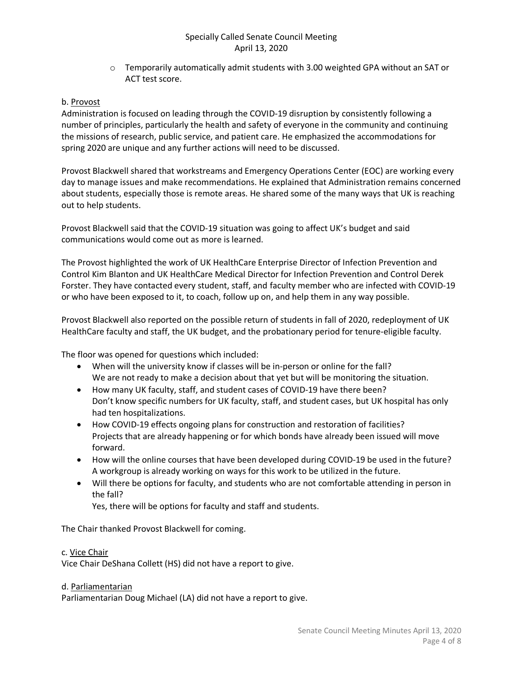$\circ$  Temporarily automatically admit students with 3.00 weighted GPA without an SAT or ACT test score.

#### b. Provost

Administration is focused on leading through the COVID-19 disruption by consistently following a number of principles, particularly the health and safety of everyone in the community and continuing the missions of research, public service, and patient care. He emphasized the accommodations for spring 2020 are unique and any further actions will need to be discussed.

Provost Blackwell shared that workstreams and Emergency Operations Center (EOC) are working every day to manage issues and make recommendations. He explained that Administration remains concerned about students, especially those is remote areas. He shared some of the many ways that UK is reaching out to help students.

Provost Blackwell said that the COVID-19 situation was going to affect UK's budget and said communications would come out as more is learned.

The Provost highlighted the work of UK HealthCare Enterprise Director of Infection Prevention and Control Kim Blanton and UK HealthCare Medical Director for Infection Prevention and Control Derek Forster. They have contacted every student, staff, and faculty member who are infected with COVID-19 or who have been exposed to it, to coach, follow up on, and help them in any way possible.

Provost Blackwell also reported on the possible return of students in fall of 2020, redeployment of UK HealthCare faculty and staff, the UK budget, and the probationary period for tenure-eligible faculty.

The floor was opened for questions which included:

- When will the university know if classes will be in-person or online for the fall? We are not ready to make a decision about that yet but will be monitoring the situation.
- How many UK faculty, staff, and student cases of COVID-19 have there been? Don't know specific numbers for UK faculty, staff, and student cases, but UK hospital has only had ten hospitalizations.
- How COVID-19 effects ongoing plans for construction and restoration of facilities? Projects that are already happening or for which bonds have already been issued will move forward.
- How will the online courses that have been developed during COVID-19 be used in the future? A workgroup is already working on ways for this work to be utilized in the future.
- Will there be options for faculty, and students who are not comfortable attending in person in the fall?

Yes, there will be options for faculty and staff and students.

The Chair thanked Provost Blackwell for coming.

#### c. Vice Chair

Vice Chair DeShana Collett (HS) did not have a report to give.

#### d. Parliamentarian

Parliamentarian Doug Michael (LA) did not have a report to give.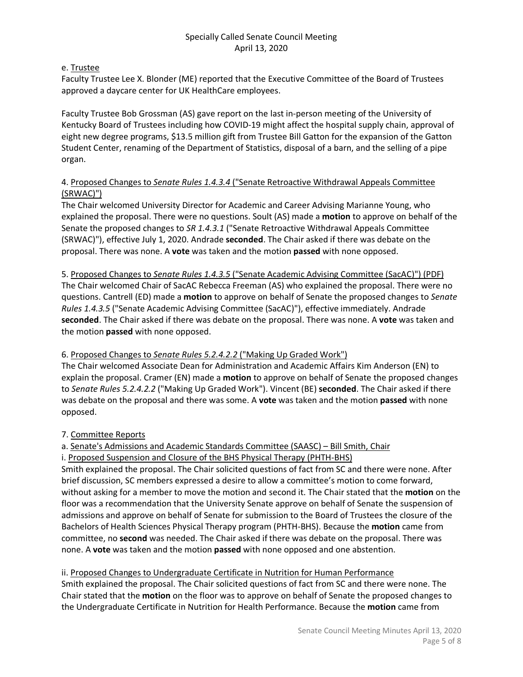#### e. Trustee

Faculty Trustee Lee X. Blonder (ME) reported that the Executive Committee of the Board of Trustees approved a daycare center for UK HealthCare employees.

Faculty Trustee Bob Grossman (AS) gave report on the last in-person meeting of the University of Kentucky Board of Trustees including how COVID-19 might affect the hospital supply chain, approval of eight new degree programs, \$13.5 million gift from Trustee Bill Gatton for the expansion of the Gatton Student Center, renaming of the Department of Statistics, disposal of a barn, and the selling of a pipe organ.

# 4. Proposed Changes to *Senate Rules 1.4.3.4* ("Senate Retroactive Withdrawal Appeals Committee (SRWAC)")

The Chair welcomed University Director for Academic and Career Advising Marianne Young, who explained the proposal. There were no questions. Soult (AS) made a **motion** to approve on behalf of the Senate the proposed changes to *SR 1.4.3.1* ("Senate Retroactive Withdrawal Appeals Committee (SRWAC)"), effective July 1, 2020. Andrade **seconded**. The Chair asked if there was debate on the proposal. There was none. A **vote** was taken and the motion **passed** with none opposed.

5. Proposed Changes to *Senate Rules 1.4.3.5* ("Senate Academic Advising Committee (SacAC)") (PDF) The Chair welcomed Chair of SacAC Rebecca Freeman (AS) who explained the proposal. There were no questions. Cantrell (ED) made a **motion** to approve on behalf of Senate the proposed changes to *Senate Rules 1.4.3.5* ("Senate Academic Advising Committee (SacAC)"), effective immediately. Andrade **seconded**. The Chair asked if there was debate on the proposal. There was none. A **vote** was taken and the motion **passed** with none opposed.

# 6. Proposed Changes to *Senate Rules 5.2.4.2.2* ("Making Up Graded Work")

The Chair welcomed Associate Dean for Administration and Academic Affairs Kim Anderson (EN) to explain the proposal. Cramer (EN) made a **motion** to approve on behalf of Senate the proposed changes to *Senate Rules 5.2.4.2.2* ("Making Up Graded Work"). Vincent (BE) **seconded**. The Chair asked if there was debate on the proposal and there was some. A **vote** was taken and the motion **passed** with none opposed.

# 7. Committee Reports

a. Senate's Admissions and Academic Standards Committee (SAASC) – Bill Smith, Chair

i. Proposed Suspension and Closure of the BHS Physical Therapy (PHTH-BHS)

Smith explained the proposal. The Chair solicited questions of fact from SC and there were none. After brief discussion, SC members expressed a desire to allow a committee's motion to come forward, without asking for a member to move the motion and second it. The Chair stated that the **motion** on the floor was a recommendation that the University Senate approve on behalf of Senate the suspension of admissions and approve on behalf of Senate for submission to the Board of Trustees the closure of the Bachelors of Health Sciences Physical Therapy program (PHTH-BHS). Because the **motion** came from committee, no **second** was needed. The Chair asked if there was debate on the proposal. There was none. A **vote** was taken and the motion **passed** with none opposed and one abstention.

# ii. Proposed Changes to Undergraduate Certificate in Nutrition for Human Performance

Smith explained the proposal. The Chair solicited questions of fact from SC and there were none. The Chair stated that the **motion** on the floor was to approve on behalf of Senate the proposed changes to the Undergraduate Certificate in Nutrition for Health Performance. Because the **motion** came from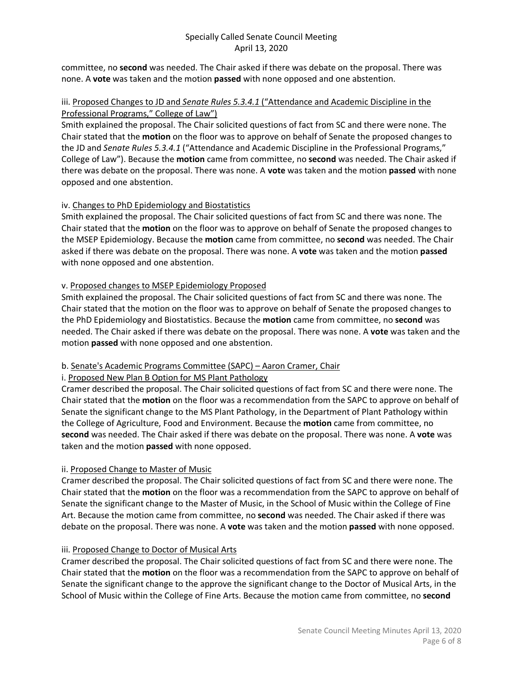committee, no **second** was needed. The Chair asked if there was debate on the proposal. There was none. A **vote** was taken and the motion **passed** with none opposed and one abstention.

## iii. Proposed Changes to JD and *Senate Rules 5.3.4.1* ("Attendance and Academic Discipline in the Professional Programs," College of Law")

Smith explained the proposal. The Chair solicited questions of fact from SC and there were none. The Chair stated that the **motion** on the floor was to approve on behalf of Senate the proposed changes to the JD and *Senate Rules 5.3.4.1* ("Attendance and Academic Discipline in the Professional Programs," College of Law"). Because the **motion** came from committee, no **second** was needed. The Chair asked if there was debate on the proposal. There was none. A **vote** was taken and the motion **passed** with none opposed and one abstention.

# iv. Changes to PhD Epidemiology and Biostatistics

Smith explained the proposal. The Chair solicited questions of fact from SC and there was none. The Chair stated that the **motion** on the floor was to approve on behalf of Senate the proposed changes to the MSEP Epidemiology. Because the **motion** came from committee, no **second** was needed. The Chair asked if there was debate on the proposal. There was none. A **vote** was taken and the motion **passed** with none opposed and one abstention.

# v. Proposed changes to MSEP Epidemiology Proposed

Smith explained the proposal. The Chair solicited questions of fact from SC and there was none. The Chair stated that the motion on the floor was to approve on behalf of Senate the proposed changes to the PhD Epidemiology and Biostatistics. Because the **motion** came from committee, no **second** was needed. The Chair asked if there was debate on the proposal. There was none. A **vote** was taken and the motion **passed** with none opposed and one abstention.

# b. Senate's Academic Programs Committee (SAPC) – Aaron Cramer, Chair

# i. Proposed New Plan B Option for MS Plant Pathology

Cramer described the proposal. The Chair solicited questions of fact from SC and there were none. The Chair stated that the **motion** on the floor was a recommendation from the SAPC to approve on behalf of Senate the significant change to the MS Plant Pathology, in the Department of Plant Pathology within the College of Agriculture, Food and Environment. Because the **motion** came from committee, no **second** was needed. The Chair asked if there was debate on the proposal. There was none. A **vote** was taken and the motion **passed** with none opposed.

# ii. Proposed Change to Master of Music

Cramer described the proposal. The Chair solicited questions of fact from SC and there were none. The Chair stated that the **motion** on the floor was a recommendation from the SAPC to approve on behalf of Senate the significant change to the Master of Music, in the School of Music within the College of Fine Art. Because the motion came from committee, no **second** was needed. The Chair asked if there was debate on the proposal. There was none. A **vote** was taken and the motion **passed** with none opposed.

# iii. Proposed Change to Doctor of Musical Arts

Cramer described the proposal. The Chair solicited questions of fact from SC and there were none. The Chair stated that the **motion** on the floor was a recommendation from the SAPC to approve on behalf of Senate the significant change to the approve the significant change to the Doctor of Musical Arts, in the School of Music within the College of Fine Arts. Because the motion came from committee, no **second**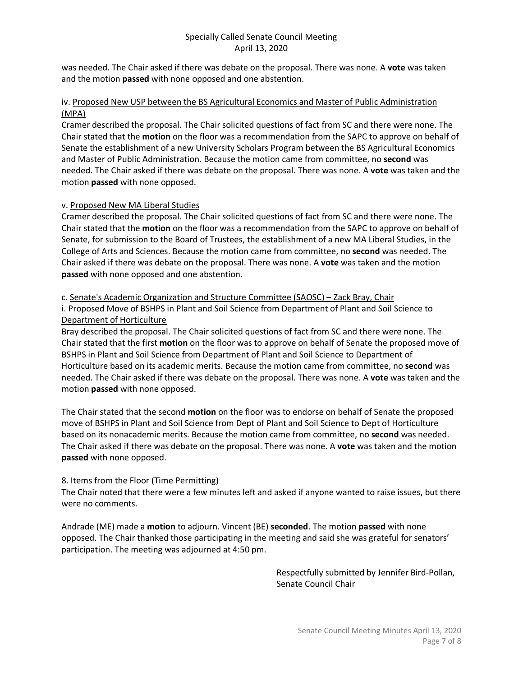was needed. The Chair asked if there was debate on the proposal. There was none. A **vote** was taken and the motion **passed** with none opposed and one abstention.

#### iv. Proposed New USP between the BS Agricultural Economics and Master of Public Administration (MPA)

Cramer described the proposal. The Chair solicited questions of fact from SC and there were none. The Chair stated that the **motion** on the floor was a recommendation from the SAPC to approve on behalf of Senate the establishment of a new University Scholars Program between the BS Agricultural Economics and Master of Public Administration. Because the motion came from committee, no **second** was needed. The Chair asked if there was debate on the proposal. There was none. A **vote** was taken and the motion **passed** with none opposed.

# v. Proposed New MA Liberal Studies

Cramer described the proposal. The Chair solicited questions of fact from SC and there were none. The Chair stated that the **motion** on the floor was a recommendation from the SAPC to approve on behalf of Senate, for submission to the Board of Trustees, the establishment of a new MA Liberal Studies, in the College of Arts and Sciences. Because the motion came from committee, no **second** was needed. The Chair asked if there was debate on the proposal. There was none. A **vote** was taken and the motion **passed** with none opposed and one abstention.

#### c. Senate's Academic Organization and Structure Committee (SAOSC) – Zack Bray, Chair

i. Proposed Move of BSHPS in Plant and Soil Science from Department of Plant and Soil Science to Department of Horticulture

Bray described the proposal. The Chair solicited questions of fact from SC and there were none. The Chair stated that the first **motion** on the floor was to approve on behalf of Senate the proposed move of BSHPS in Plant and Soil Science from Department of Plant and Soil Science to Department of Horticulture based on its academic merits. Because the motion came from committee, no **second** was needed. The Chair asked if there was debate on the proposal. There was none. A **vote** was taken and the motion **passed** with none opposed.

The Chair stated that the second **motion** on the floor was to endorse on behalf of Senate the proposed move of BSHPS in Plant and Soil Science from Dept of Plant and Soil Science to Dept of Horticulture based on its nonacademic merits. Because the motion came from committee, no **second** was needed. The Chair asked if there was debate on the proposal. There was none. A **vote** was taken and the motion **passed** with none opposed.

# 8. Items from the Floor (Time Permitting)

The Chair noted that there were a few minutes left and asked if anyone wanted to raise issues, but there were no comments.

Andrade (ME) made a **motion** to adjourn. Vincent (BE) **seconded**. The motion **passed** with none opposed. The Chair thanked those participating in the meeting and said she was grateful for senators' participation. The meeting was adjourned at 4:50 pm.

> Respectfully submitted by Jennifer Bird-Pollan, Senate Council Chair